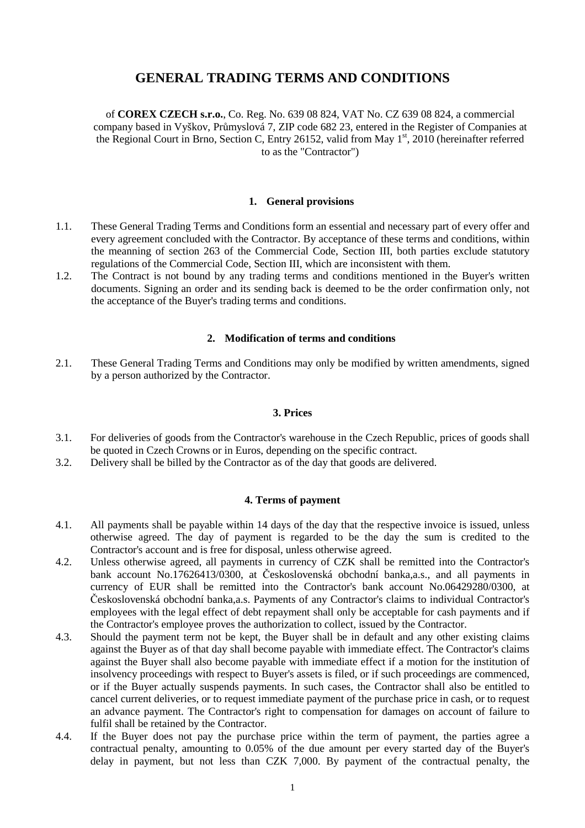# **GENERAL TRADING TERMS AND CONDITIONS**

of **COREX CZECH s.r.o.**, Co. Reg. No. 639 08 824, VAT No. CZ 639 08 824, a commercial company based in Vyškov, Průmyslová 7, ZIP code 682 23, entered in the Register of Companies at the Regional Court in Brno, Section C, Entry 26152, valid from May 1<sup>st</sup>, 2010 (hereinafter referred to as the "Contractor")

#### **1. General provisions**

- 1.1. These General Trading Terms and Conditions form an essential and necessary part of every offer and every agreement concluded with the Contractor. By acceptance of these terms and conditions, within the meanning of section 263 of the Commercial Code, Section III, both parties exclude statutory regulations of the Commercial Code, Section III, which are inconsistent with them.
- 1.2. The Contract is not bound by any trading terms and conditions mentioned in the Buyer's written documents. Signing an order and its sending back is deemed to be the order confirmation only, not the acceptance of the Buyer's trading terms and conditions.

#### **2. Modification of terms and conditions**

2.1. These General Trading Terms and Conditions may only be modified by written amendments, signed by a person authorized by the Contractor.

#### **3. Prices**

- 3.1. For deliveries of goods from the Contractor's warehouse in the Czech Republic, prices of goods shall be quoted in Czech Crowns or in Euros, depending on the specific contract.
- 3.2. Delivery shall be billed by the Contractor as of the day that goods are delivered.

## **4. Terms of payment**

- 4.1. All payments shall be payable within 14 days of the day that the respective invoice is issued, unless otherwise agreed. The day of payment is regarded to be the day the sum is credited to the Contractor's account and is free for disposal, unless otherwise agreed.
- 4.2. Unless otherwise agreed, all payments in currency of CZK shall be remitted into the Contractor's bank account No.17626413/0300, at Československá obchodní banka,a.s., and all payments in currency of EUR shall be remitted into the Contractor's bank account No.06429280/0300, at Československá obchodní banka,a.s. Payments of any Contractor's claims to individual Contractor's employees with the legal effect of debt repayment shall only be acceptable for cash payments and if the Contractor's employee proves the authorization to collect, issued by the Contractor.
- 4.3. Should the payment term not be kept, the Buyer shall be in default and any other existing claims against the Buyer as of that day shall become payable with immediate effect. The Contractor's claims against the Buyer shall also become payable with immediate effect if a motion for the institution of insolvency proceedings with respect to Buyer's assets is filed, or if such proceedings are commenced, or if the Buyer actually suspends payments. In such cases, the Contractor shall also be entitled to cancel current deliveries, or to request immediate payment of the purchase price in cash, or to request an advance payment. The Contractor's right to compensation for damages on account of failure to fulfil shall be retained by the Contractor.
- 4.4. If the Buyer does not pay the purchase price within the term of payment, the parties agree a contractual penalty, amounting to 0.05% of the due amount per every started day of the Buyer's delay in payment, but not less than CZK 7,000. By payment of the contractual penalty, the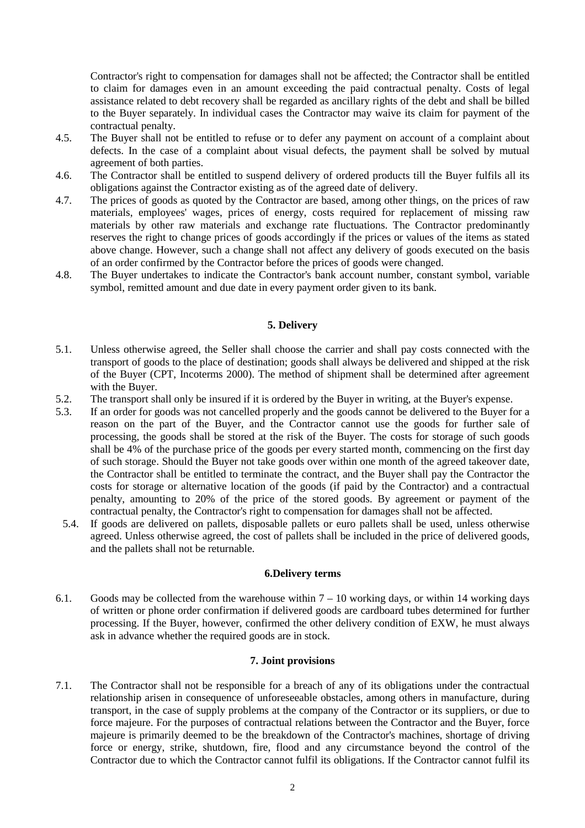Contractor's right to compensation for damages shall not be affected; the Contractor shall be entitled to claim for damages even in an amount exceeding the paid contractual penalty. Costs of legal assistance related to debt recovery shall be regarded as ancillary rights of the debt and shall be billed to the Buyer separately. In individual cases the Contractor may waive its claim for payment of the contractual penalty.

- 4.5. The Buyer shall not be entitled to refuse or to defer any payment on account of a complaint about defects. In the case of a complaint about visual defects, the payment shall be solved by mutual agreement of both parties.
- 4.6. The Contractor shall be entitled to suspend delivery of ordered products till the Buyer fulfils all its obligations against the Contractor existing as of the agreed date of delivery.
- 4.7. The prices of goods as quoted by the Contractor are based, among other things, on the prices of raw materials, employees' wages, prices of energy, costs required for replacement of missing raw materials by other raw materials and exchange rate fluctuations. The Contractor predominantly reserves the right to change prices of goods accordingly if the prices or values of the items as stated above change. However, such a change shall not affect any delivery of goods executed on the basis of an order confirmed by the Contractor before the prices of goods were changed.
- 4.8. The Buyer undertakes to indicate the Contractor's bank account number, constant symbol, variable symbol, remitted amount and due date in every payment order given to its bank.

## **5. Delivery**

- 5.1. Unless otherwise agreed, the Seller shall choose the carrier and shall pay costs connected with the transport of goods to the place of destination; goods shall always be delivered and shipped at the risk of the Buyer (CPT, Incoterms 2000). The method of shipment shall be determined after agreement with the Buyer.
- 5.2. The transport shall only be insured if it is ordered by the Buyer in writing, at the Buyer's expense.
- 5.3. If an order for goods was not cancelled properly and the goods cannot be delivered to the Buyer for a reason on the part of the Buyer, and the Contractor cannot use the goods for further sale of processing, the goods shall be stored at the risk of the Buyer. The costs for storage of such goods shall be 4% of the purchase price of the goods per every started month, commencing on the first day of such storage. Should the Buyer not take goods over within one month of the agreed takeover date, the Contractor shall be entitled to terminate the contract, and the Buyer shall pay the Contractor the costs for storage or alternative location of the goods (if paid by the Contractor) and a contractual penalty, amounting to 20% of the price of the stored goods. By agreement or payment of the contractual penalty, the Contractor's right to compensation for damages shall not be affected.
- 5.4. If goods are delivered on pallets, disposable pallets or euro pallets shall be used, unless otherwise agreed. Unless otherwise agreed, the cost of pallets shall be included in the price of delivered goods, and the pallets shall not be returnable.

#### **6.Delivery terms**

6.1. Goods may be collected from the warehouse within  $7 - 10$  working days, or within 14 working days of written or phone order confirmation if delivered goods are cardboard tubes determined for further processing. If the Buyer, however, confirmed the other delivery condition of EXW, he must always ask in advance whether the required goods are in stock.

### **7. Joint provisions**

7.1. The Contractor shall not be responsible for a breach of any of its obligations under the contractual relationship arisen in consequence of unforeseeable obstacles, among others in manufacture, during transport, in the case of supply problems at the company of the Contractor or its suppliers, or due to force majeure. For the purposes of contractual relations between the Contractor and the Buyer, force majeure is primarily deemed to be the breakdown of the Contractor's machines, shortage of driving force or energy, strike, shutdown, fire, flood and any circumstance beyond the control of the Contractor due to which the Contractor cannot fulfil its obligations. If the Contractor cannot fulfil its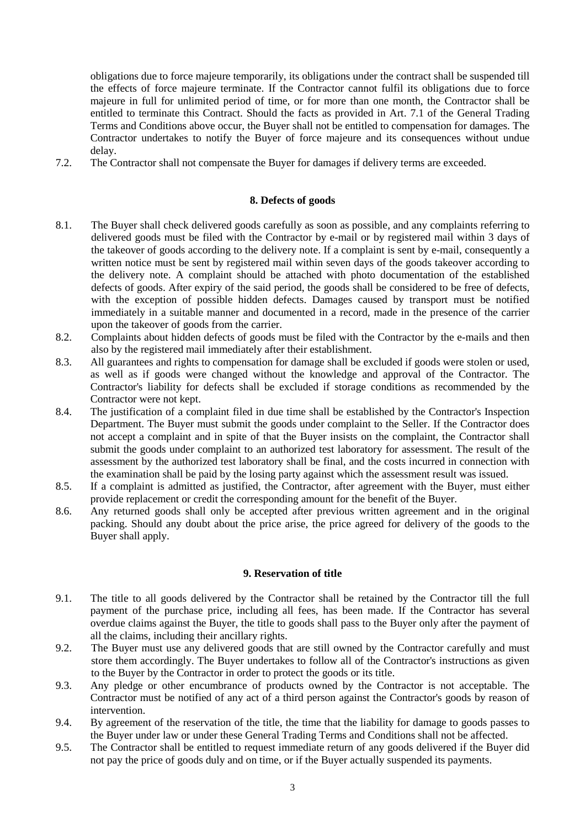obligations due to force majeure temporarily, its obligations under the contract shall be suspended till the effects of force majeure terminate. If the Contractor cannot fulfil its obligations due to force majeure in full for unlimited period of time, or for more than one month, the Contractor shall be entitled to terminate this Contract. Should the facts as provided in Art. 7.1 of the General Trading Terms and Conditions above occur, the Buyer shall not be entitled to compensation for damages. The Contractor undertakes to notify the Buyer of force majeure and its consequences without undue delay.

7.2. The Contractor shall not compensate the Buyer for damages if delivery terms are exceeded.

#### **8. Defects of goods**

- 8.1. The Buyer shall check delivered goods carefully as soon as possible, and any complaints referring to delivered goods must be filed with the Contractor by e-mail or by registered mail within 3 days of the takeover of goods according to the delivery note. If a complaint is sent by e-mail, consequently a written notice must be sent by registered mail within seven days of the goods takeover according to the delivery note. A complaint should be attached with photo documentation of the established defects of goods. After expiry of the said period, the goods shall be considered to be free of defects, with the exception of possible hidden defects. Damages caused by transport must be notified immediately in a suitable manner and documented in a record, made in the presence of the carrier upon the takeover of goods from the carrier.
- 8.2. Complaints about hidden defects of goods must be filed with the Contractor by the e-mails and then also by the registered mail immediately after their establishment.
- 8.3. All guarantees and rights to compensation for damage shall be excluded if goods were stolen or used, as well as if goods were changed without the knowledge and approval of the Contractor. The Contractor's liability for defects shall be excluded if storage conditions as recommended by the Contractor were not kept.
- 8.4. The justification of a complaint filed in due time shall be established by the Contractor's Inspection Department. The Buyer must submit the goods under complaint to the Seller. If the Contractor does not accept a complaint and in spite of that the Buyer insists on the complaint, the Contractor shall submit the goods under complaint to an authorized test laboratory for assessment. The result of the assessment by the authorized test laboratory shall be final, and the costs incurred in connection with the examination shall be paid by the losing party against which the assessment result was issued.
- 8.5. If a complaint is admitted as justified, the Contractor, after agreement with the Buyer, must either provide replacement or credit the corresponding amount for the benefit of the Buyer.
- 8.6. Any returned goods shall only be accepted after previous written agreement and in the original packing. Should any doubt about the price arise, the price agreed for delivery of the goods to the Buyer shall apply.

#### **9. Reservation of title**

- 9.1. The title to all goods delivered by the Contractor shall be retained by the Contractor till the full payment of the purchase price, including all fees, has been made. If the Contractor has several overdue claims against the Buyer, the title to goods shall pass to the Buyer only after the payment of all the claims, including their ancillary rights.
- 9.2. The Buyer must use any delivered goods that are still owned by the Contractor carefully and must store them accordingly. The Buyer undertakes to follow all of the Contractor's instructions as given to the Buyer by the Contractor in order to protect the goods or its title.
- 9.3. Any pledge or other encumbrance of products owned by the Contractor is not acceptable. The Contractor must be notified of any act of a third person against the Contractor's goods by reason of intervention.
- 9.4. By agreement of the reservation of the title, the time that the liability for damage to goods passes to the Buyer under law or under these General Trading Terms and Conditions shall not be affected.
- 9.5. The Contractor shall be entitled to request immediate return of any goods delivered if the Buyer did not pay the price of goods duly and on time, or if the Buyer actually suspended its payments.